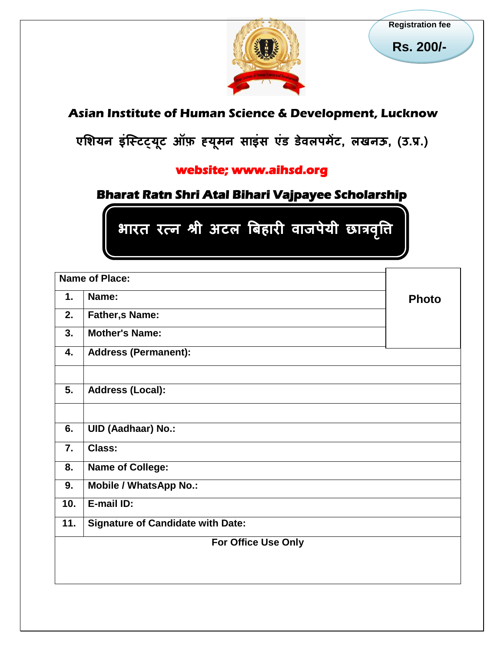

**Registration fee**

**Rs. 200/-**

# **Asian Institute of Human Science & Development, Lucknow**

**एशियन इंस्टिट्य ू ि ऑफ़ ह्य ू मन साइंस एंड डवे ऱपमेंि, ऱखनऊ, (उ.प्र.)** 

## **website; www.aihsd.org**

# **Bharat Ratn Shri Atal Bihari Vajpayee Scholarship**

 **भारत रत्न श्री अिऱ बिहारी वाजपेयी छात्रवत्त ृ ि**

| 2.<br><b>Father,s Name:</b><br>3.<br><b>Mother's Name:</b><br><b>Address (Permanent):</b><br>4.<br>5.<br><b>Address (Local):</b><br><b>UID (Aadhaar) No.:</b><br>6.<br>7.<br><b>Class:</b><br><b>Name of College:</b><br>8.<br>9.<br><b>Mobile / WhatsApp No.:</b> |     | Name of Place: |              |
|--------------------------------------------------------------------------------------------------------------------------------------------------------------------------------------------------------------------------------------------------------------------|-----|----------------|--------------|
|                                                                                                                                                                                                                                                                    | 1.  | Name:          | <b>Photo</b> |
|                                                                                                                                                                                                                                                                    |     |                |              |
|                                                                                                                                                                                                                                                                    |     |                |              |
|                                                                                                                                                                                                                                                                    |     |                |              |
|                                                                                                                                                                                                                                                                    |     |                |              |
|                                                                                                                                                                                                                                                                    |     |                |              |
|                                                                                                                                                                                                                                                                    |     |                |              |
|                                                                                                                                                                                                                                                                    |     |                |              |
|                                                                                                                                                                                                                                                                    |     |                |              |
|                                                                                                                                                                                                                                                                    |     |                |              |
|                                                                                                                                                                                                                                                                    | 10. | E-mail ID:     |              |
| 11.<br><b>Signature of Candidate with Date:</b>                                                                                                                                                                                                                    |     |                |              |
| For Office Use Only                                                                                                                                                                                                                                                |     |                |              |